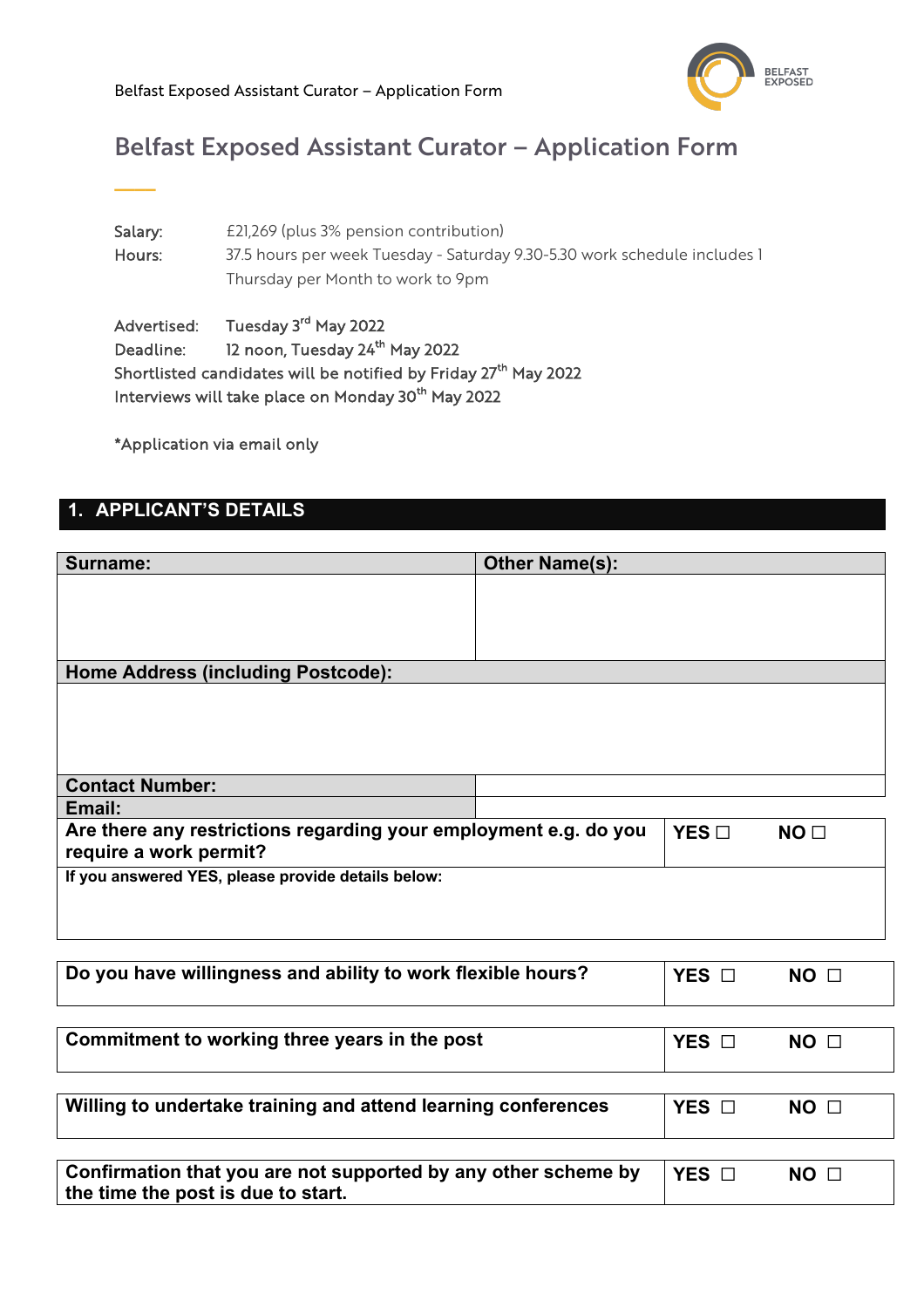

# Belfast Exposed Assistant Curator – Application Form

Salary: £21,269 (plus 3% pension contribution) Hours: 37.5 hours per week Tuesday - Saturday 9.30-5.30 work schedule includes 1 Thursday per Month to work to 9pm

Advertised: Tuesday 3<sup>rd</sup> May 2022 Deadline: 12 noon, Tuesday 24<sup>th</sup> May 2022 Shortlisted candidates will be notified by Friday 27<sup>th</sup> May 2022 Interviews will take place on Monday 30<sup>th</sup> May 2022

\*Application via email only

### **1. APPLICANT'S DETAILS**

**\_\_\_\_**

| Surname:                                                                                             | <b>Other Name(s):</b> |            |                 |
|------------------------------------------------------------------------------------------------------|-----------------------|------------|-----------------|
|                                                                                                      |                       |            |                 |
|                                                                                                      |                       |            |                 |
| <b>Home Address (including Postcode):</b>                                                            |                       |            |                 |
|                                                                                                      |                       |            |                 |
|                                                                                                      |                       |            |                 |
|                                                                                                      |                       |            |                 |
| <b>Contact Number:</b>                                                                               |                       |            |                 |
| Email:                                                                                               |                       |            |                 |
| Are there any restrictions regarding your employment e.g. do you<br>require a work permit?           |                       | YES        | NO <sub>1</sub> |
| If you answered YES, please provide details below:                                                   |                       |            |                 |
|                                                                                                      |                       |            |                 |
|                                                                                                      |                       |            |                 |
| Do you have willingness and ability to work flexible hours?                                          |                       | YES $\Box$ | NO <sub>1</sub> |
|                                                                                                      |                       |            |                 |
|                                                                                                      |                       |            |                 |
| Commitment to working three years in the post                                                        |                       | YES O      | NO <sub>1</sub> |
|                                                                                                      |                       |            |                 |
| Willing to undertake training and attend learning conferences                                        |                       | YES O      | NO <sub>1</sub> |
|                                                                                                      |                       |            |                 |
|                                                                                                      |                       |            |                 |
| Confirmation that you are not supported by any other scheme by<br>the time the post is due to start. |                       | YES O      | $NO$ $\square$  |
|                                                                                                      |                       |            |                 |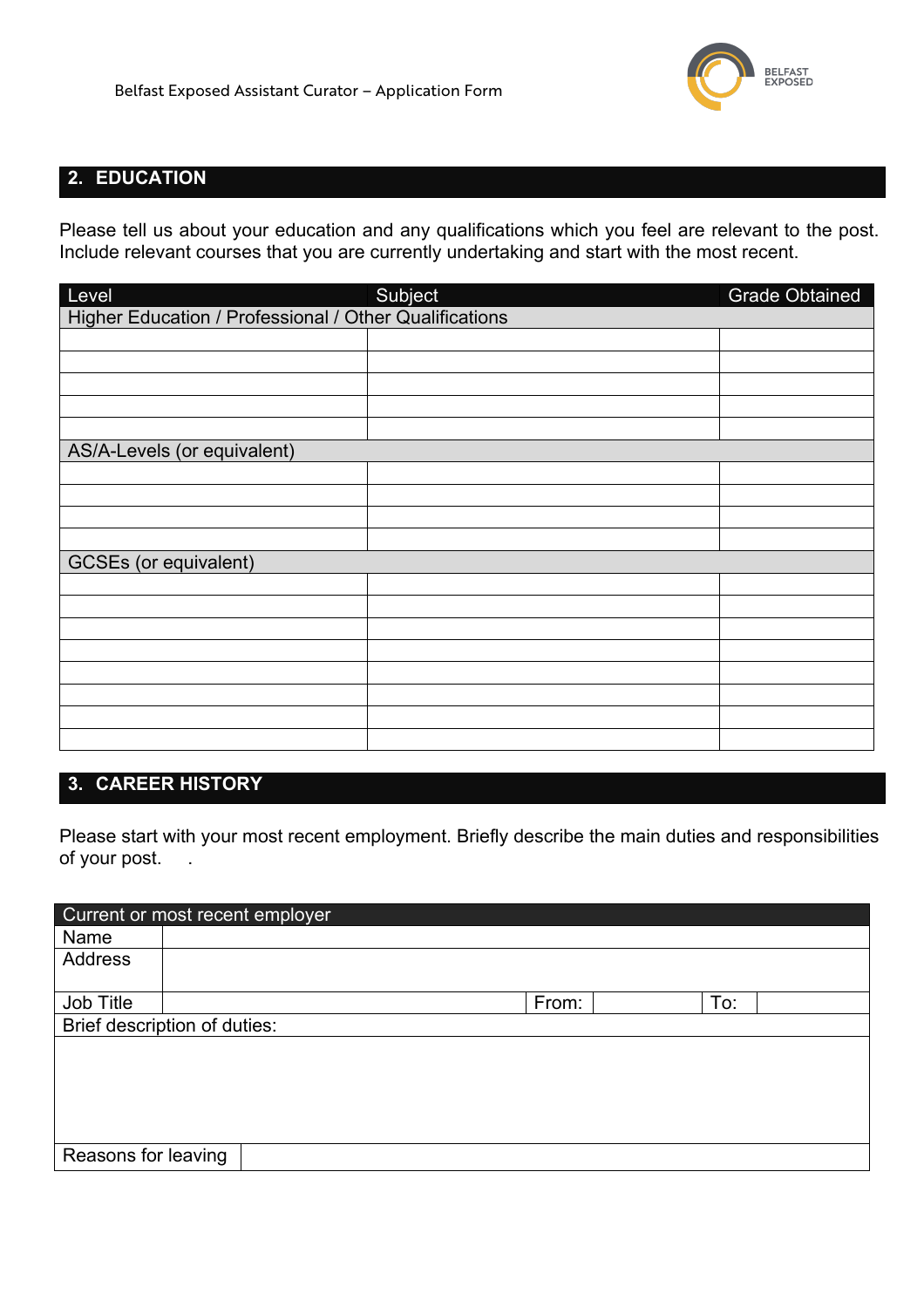

### **2. EDUCATION**

Please tell us about your education and any qualifications which you feel are relevant to the post. Include relevant courses that you are currently undertaking and start with the most recent.

| Level                                                  | Subject | <b>Grade Obtained</b> |  |  |
|--------------------------------------------------------|---------|-----------------------|--|--|
| Higher Education / Professional / Other Qualifications |         |                       |  |  |
|                                                        |         |                       |  |  |
|                                                        |         |                       |  |  |
|                                                        |         |                       |  |  |
|                                                        |         |                       |  |  |
|                                                        |         |                       |  |  |
| AS/A-Levels (or equivalent)                            |         |                       |  |  |
|                                                        |         |                       |  |  |
|                                                        |         |                       |  |  |
|                                                        |         |                       |  |  |
|                                                        |         |                       |  |  |
| <b>GCSEs</b> (or equivalent)                           |         |                       |  |  |
|                                                        |         |                       |  |  |
|                                                        |         |                       |  |  |
|                                                        |         |                       |  |  |
|                                                        |         |                       |  |  |
|                                                        |         |                       |  |  |
|                                                        |         |                       |  |  |
|                                                        |         |                       |  |  |
|                                                        |         |                       |  |  |

### **3. CAREER HISTORY**

Please start with your most recent employment. Briefly describe the main duties and responsibilities of your post. .

| Current or most recent employer |  |       |     |  |
|---------------------------------|--|-------|-----|--|
| Name                            |  |       |     |  |
| Address                         |  |       |     |  |
|                                 |  |       |     |  |
| Job Title                       |  | From: | To: |  |
| Brief description of duties:    |  |       |     |  |
|                                 |  |       |     |  |
|                                 |  |       |     |  |
|                                 |  |       |     |  |
|                                 |  |       |     |  |
|                                 |  |       |     |  |
| Reasons for leaving             |  |       |     |  |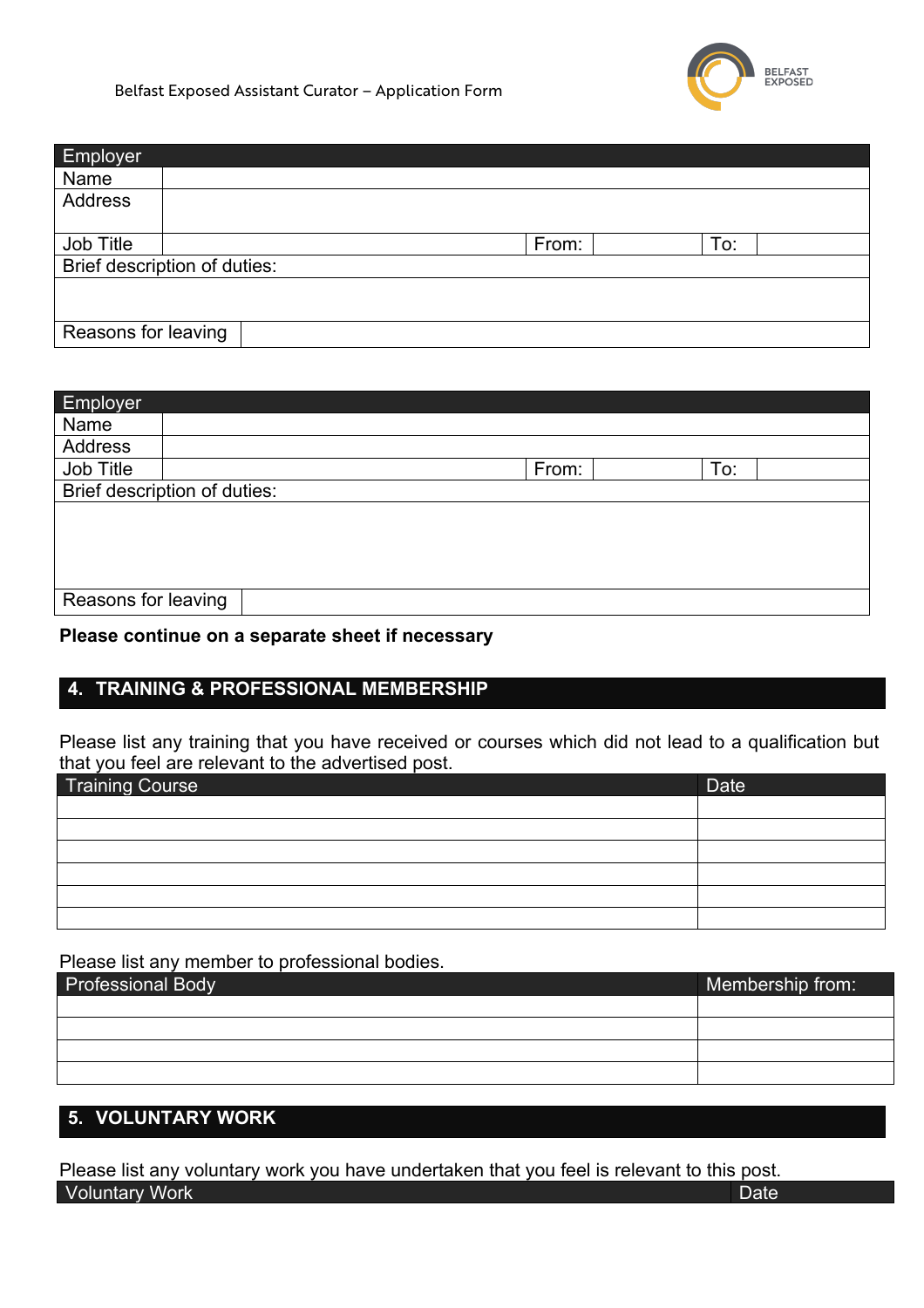

Belfast Exposed Assistant Curator – Application Form

| Employer                     |  |  |       |     |  |
|------------------------------|--|--|-------|-----|--|
| Name                         |  |  |       |     |  |
| Address                      |  |  |       |     |  |
|                              |  |  |       |     |  |
| Job Title                    |  |  | From: | To: |  |
| Brief description of duties: |  |  |       |     |  |
|                              |  |  |       |     |  |
|                              |  |  |       |     |  |
| Reasons for leaving          |  |  |       |     |  |

| Employer                     |  |  |       |     |  |
|------------------------------|--|--|-------|-----|--|
| Name                         |  |  |       |     |  |
| Address                      |  |  |       |     |  |
| Job Title                    |  |  | From: | To: |  |
| Brief description of duties: |  |  |       |     |  |
|                              |  |  |       |     |  |
|                              |  |  |       |     |  |
|                              |  |  |       |     |  |
|                              |  |  |       |     |  |
| Reasons for leaving          |  |  |       |     |  |

#### **Please continue on a separate sheet if necessary**

### **4. TRAINING & PROFESSIONAL MEMBERSHIP**

Please list any training that you have received or courses which did not lead to a qualification but that you feel are relevant to the advertised post.

| <b>Training Course</b> | <b>Date</b> |
|------------------------|-------------|
|                        |             |
|                        |             |
|                        |             |
|                        |             |
|                        |             |
|                        |             |

Please list any member to professional bodies.

| <b>Professional Body</b> | Membership from: |
|--------------------------|------------------|
|                          |                  |
|                          |                  |
|                          |                  |
|                          |                  |

# **5. VOLUNTARY WORK**

Please list any voluntary work you have undertaken that you feel is relevant to this post. **Voluntary Work Date**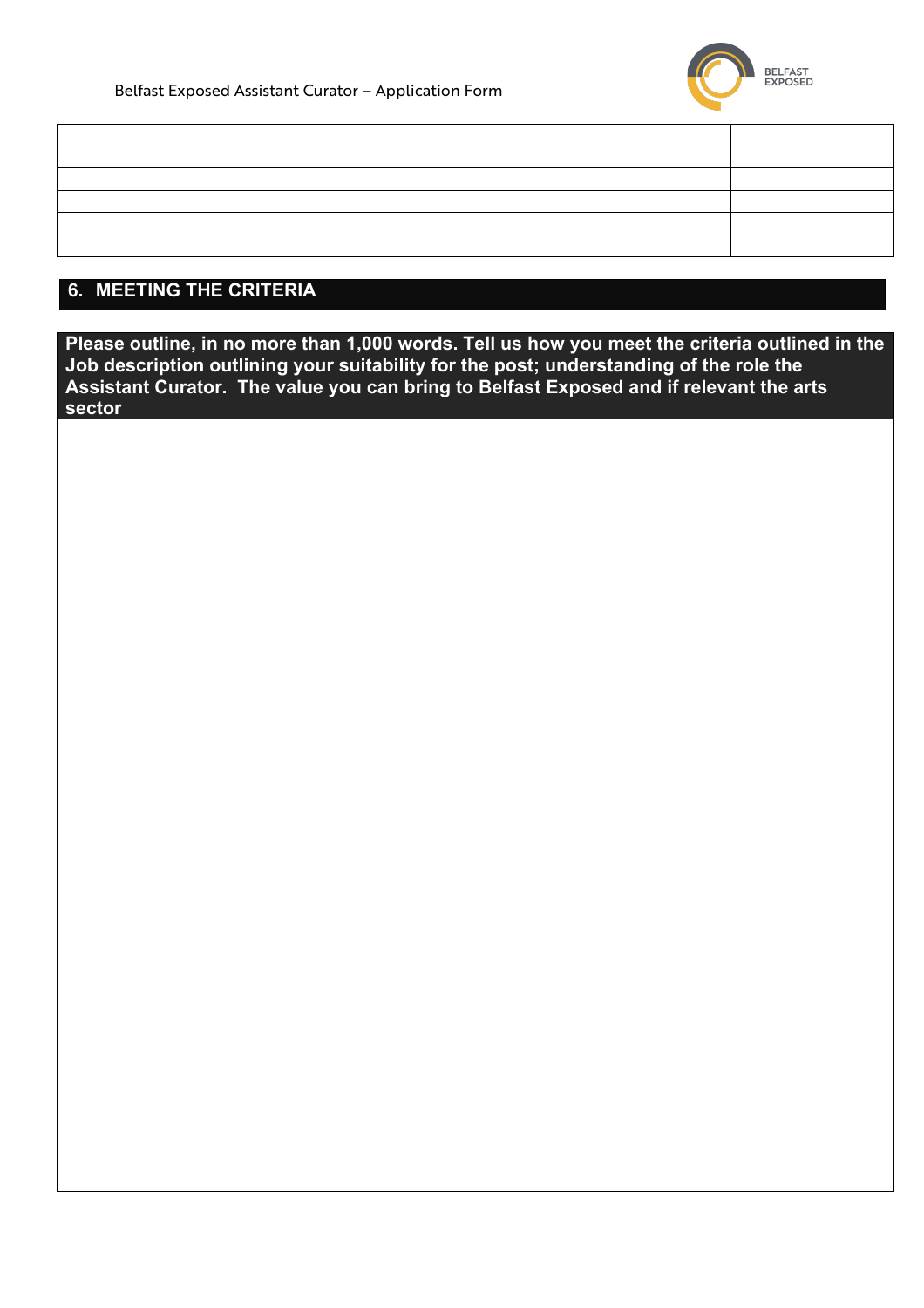

| <u> 1989 - An Dùbhlachd ann an Comhair ann an Comhair ann an Comhair ann an Comhair ann an Comhair ann an Comhair an C</u> |  |
|----------------------------------------------------------------------------------------------------------------------------|--|
|                                                                                                                            |  |
| <u> 1989 - Andrea San Andrea San Andrea San Andrea San Andrea San Andrea San Andrea San Andrea San Andrea San An</u>       |  |
|                                                                                                                            |  |
|                                                                                                                            |  |
|                                                                                                                            |  |

## **6. MEETING THE CRITERIA**

**Please outline, in no more than 1,000 words. Tell us how you meet the criteria outlined in the Job description outlining your suitability for the post; understanding of the role the Assistant Curator. The value you can bring to Belfast Exposed and if relevant the arts sector**